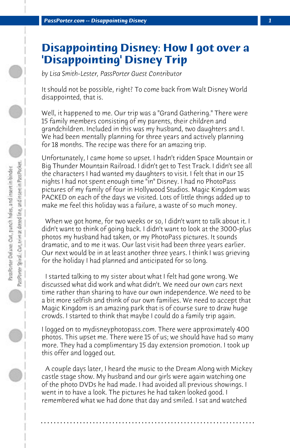## **Disappointing Disney: How I got over a 'Disappointing' Disney Trip**

*by Lisa Smith-Lester, PassPorter Guest Contributor*

It should not be possible, right? To come back from Walt Disney World disappointed, that is.

Well, it happened to me. Our trip was a "Grand Gathering." There were 15 family members consisting of my parents, their children and grandchildren. Included in this was my husband, two daughters and I. We had been mentally planning for three years and actively planning for 18 months. The recipe was there for an amazing trip.

Unfortunately, I came home so upset. I hadn't ridden Space Mountain or Big Thunder Mountain Railroad. I didn't get to Test Track. I didn't see all the characters I had wanted my daughters to visit. I felt that in our 15 nights I had not spent enough time "in" Disney. I had no PhotoPass pictures of my family of four in Hollywood Studios. Magic Kingdom was PACKED on each of the days we visited. Lots of little things added up to make me feel this holiday was a failure, a waste of so much money.

 When we got home, for two weeks or so, I didn't want to talk about it. I didn't want to think of going back. I didn't want to look at the 3000-plus photos my husband had taken, or my PhotoPass pictures. It sounds dramatic, and to me it was. Our last visit had been three years earlier. Our next would be in at least another three years. I think I was grieving for the holiday I had planned and anticipated for so long.

 I started talking to my sister about what I felt had gone wrong. We discussed what did work and what didn't. We need our own cars next time rather than sharing to have our own independence. We need to be a bit more selfish and think of our own families. We need to accept that Magic Kingdom is an amazing park that is of course sure to draw huge crowds. I started to think that maybe I could do a family trip again.

I logged on to mydisneyphotopass.com. There were approximately 400 photos. This upset me. There were 15 of us; we should have had so many more. They had a complimentary 15 day extension promotion. I took up this offer and logged out.

 A couple days later, I heard the music to the Dream Along with Mickey castle stage show. My husband and our girls were again watching one of the photo DVDs he had made. I had avoided all previous showings. I went in to have a look. The pictures he had taken looked good. I remembered what we had done that day and smiled. I sat and watched

**. . . . . . . . . . . . . . . . . . . . . . . . . . . . . . . . . . . . . . . . . . . . . . . . . . . . . . . . . . . . . . . . . .**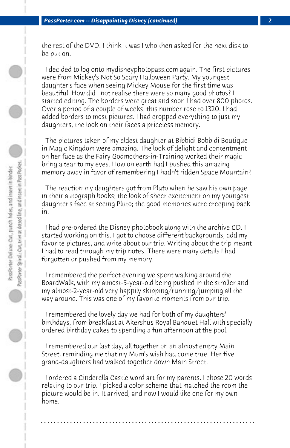the rest of the DVD. I think it was I who then asked for the next disk to be put on.

 I decided to log onto mydisneyphotopass.com again. The first pictures were from Mickey's Not So Scary Halloween Party. My youngest daughter's face when seeing Mickey Mouse for the first time was beautiful. How did I not realise there were so many good photos? I started editing. The borders were great and soon I had over 800 photos. Over a period of a couple of weeks, this number rose to 1320. I had added borders to most pictures. I had cropped everything to just my daughters, the look on their faces a priceless memory.

 The pictures taken of my eldest daughter at Bibbidi Bobbidi Boutique in Magic Kingdom were amazing. The look of delight and contentment on her face as the Fairy Godmothers-in-Training worked their magic bring a tear to my eyes. How on earth had I pushed this amazing memory away in favor of remembering I hadn't ridden Space Mountain?

 The reaction my daughters got from Pluto when he saw his own page in their autograph books; the look of sheer excitement on my youngest daughter's face at seeing Pluto; the good memories were creeping back in.

 I had pre-ordered the Disney photobook along with the archive CD. I started working on this. I got to choose different backgrounds, add my favorite pictures, and write about our trip. Writing about the trip meant I had to read through my trip notes. There were many details I had forgotten or pushed from my memory.

 I remembered the perfect evening we spent walking around the BoardWalk, with my almost-5-year-old being pushed in the stroller and my almost-2-year-old very happily skipping/running/jumping all the way around. This was one of my favorite moments from our trip.

 I remembered the lovely day we had for both of my daughters' birthdays, from breakfast at Akershus Royal Banquet Hall with specially ordered birthday cakes to spending a fun afternoon at the pool.

 I remembered our last day, all together on an almost empty Main Street, reminding me that my Mum's wish had come true. Her five grand-daughters had walked together down Main Street.

 I ordered a Cinderella Castle word art for my parents. I chose 20 words relating to our trip. I picked a color scheme that matched the room the picture would be in. It arrived, and now I would like one for my own home.

**. . . . . . . . . . . . . . . . . . . . . . . . . . . . . . . . . . . . . . . . . . . . . . . . . . . . . . . . . . . . . . . . . .**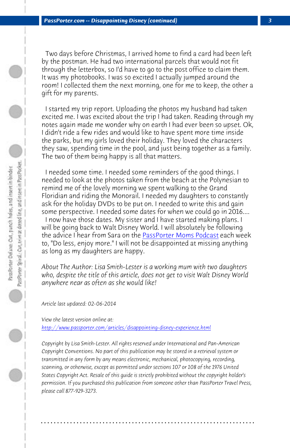*PassPorter.com -- Disappointing Disney (continued) 3*

 Two days before Christmas, I arrived home to find a card had been left by the postman. He had two international parcels that would not fit through the letterbox, so I'd have to go to the post office to claim them. It was my photobooks. I was so excited I actually jumped around the room! I collected them the next morning, one for me to keep, the other a gift for my parents.

 I started my trip report. Uploadin[g the photos my husband h](http://www.passporter.com/podcast)ad taken excited me. I was excited about the trip I had taken. Reading through my notes again made me wonder why on earth I had ever been so upset. Ok, I didn't ride a few rides and would like to have spent more time inside the parks, but my girls loved their holiday. They loved the characters they saw, spending time in the pool, and just being together as a family. The two of them being happy is all that matters.

 I needed some time. I needed some reminders of the good things. I needed to look at the photos taken from the beach at the Polynesian to remind me of the lovely morning we spent walking to the Grand [Floridian and riding the Monorail. I needed my daughters t](http://www.passporter.com/articles/disappointing-disney-experience.php)o constantly ask for the holiday DVDs to be put on. I needed to write this and gain some perspective. I needed some dates for when we could go in 2016.... I now have those dates. My sister and I have started making plans. I will be going back to Walt Disney World. I will absolutely be following the advice I hear from Sara on the PassPorter Moms Podcast each week to, "Do less, enjoy more." I will not be disappointed at missing anything as long as my daughters are happy.

*About The Author: Lisa Smith-Lester is a working mum with two daughters who, despite the title of this article, does not get to visit Walt Disney World anywhere near as often as she would like!*

*Article last updated: 02-06-2014*

*View the latest version online at: http://www.passporter.com/articles/disappointing-disney-experience.html*

*Copyright by Lisa Smith-Lester. All rights reserved under International and Pan-American Copyright Conventions. No part of this publication may be stored in a retrieval system or transmitted in any form by any means electronic, mechanical, photocopying, recording, scanning, or otherwise, except as permitted under sections 107 or 108 of the 1976 United States Copyright Act. Resale of this guide is strictly prohibited without the copyright holder's permission. If you purchased this publication from someone other than PassPorter Travel Press, please call 877-929-3273.*

**. . . . . . . . . . . . . . . . . . . . . . . . . . . . . . . . . . . . . . . . . . . . . . . . . . . . . . . . . . . . . . . . . .**